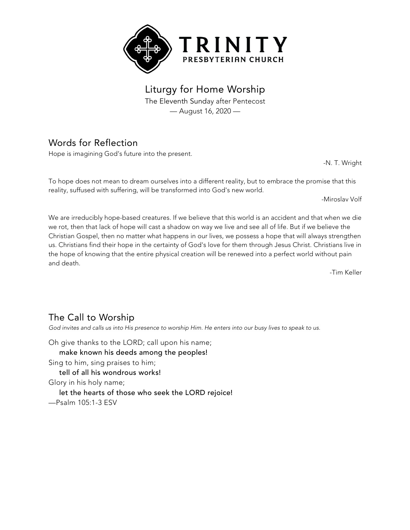

Liturgy for Home Worship The Eleventh Sunday after Pentecost

— August 16, 2020 —

# Words for Reflection

Hope is imagining God's future into the present.

-N. T. Wright

To hope does not mean to dream ourselves into a different reality, but to embrace the promise that this reality, suffused with suffering, will be transformed into God's new world.

-Miroslav Volf

We are irreducibly hope-based creatures. If we believe that this world is an accident and that when we die we rot, then that lack of hope will cast a shadow on way we live and see all of life. But if we believe the Christian Gospel, then no matter what happens in our lives, we possess a hope that will always strengthen us. Christians find their hope in the certainty of God's love for them through Jesus Christ. Christians live in the hope of knowing that the entire physical creation will be renewed into a perfect world without pain and death.

-Tim Keller

## The Call to Worship

God invites and calls us into His presence to worship Him. He enters into our busy lives to speak to us.

Oh give thanks to the LORD; call upon his name; make known his deeds among the peoples! Sing to him, sing praises to him; tell of all his wondrous works! Glory in his holy name; let the hearts of those who seek the LORD rejoice!

—Psalm 105:1-3 ESV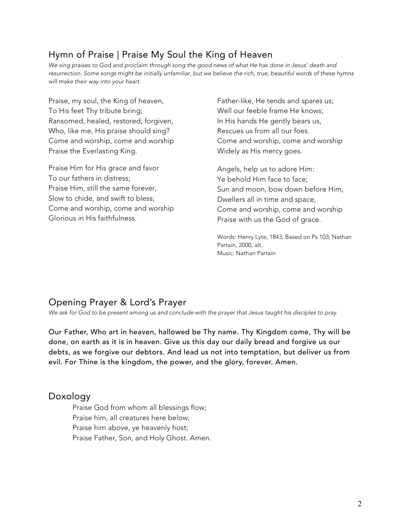# Hymn of Praise | Praise My Soul the King of Heaven

We sing praises to God and proclaim through song the good news of what He has done in Jesus' death and resurrection. Some songs might be initially unfamiliar, but we believe the rich, true, beautiful words of these hymns *will make their way into your heart.*

Praise, my soul, the King of heaven, To His feet Thy tribute bring; Ransomed, healed, restored, forgiven, Who, like me, His praise should sing? Come and worship, come and worship Praise the Everlasting King.

Praise Him for His grace and favor To our fathers in distress; Praise Him, still the same forever, Slow to chide, and swift to bless; Come and worship, come and worship Glorious in His faithfulness.

Father-like, He tends and spares us; Well our feeble frame He knows; In His hands He gently bears us, Rescues us from all our foes. Come and worship, come and worship Widely as His mercy goes.

Angels, help us to adore Him: Ye behold Him face to face; Sun and moon, bow down before Him, Dwellers all in time and space, Come and worship, come and worship Praise with us the God of grace.

Words: Henry Lyte, 1843, Based on Ps 103; Nathan Partain, 2000, alt. Music: Nathan Partain

## Opening Prayer & Lord's Prayer

*We ask for God to be present among us and conclude with the prayer that Jesus taught his disciples to pray.*

Our Father, Who art in heaven, hallowed be Thy name. Thy Kingdom come, Thy will be done, on earth as it is in heaven. Give us this day our daily bread and forgive us our debts, as we forgive our debtors. And lead us not into temptation, but deliver us from evil. For Thine is the kingdom, the power, and the glory, forever. Amen.

#### Doxology

Praise God from whom all blessings flow; Praise him, all creatures here below; Praise him above, ye heavenly host; Praise Father, Son, and Holy Ghost. Amen.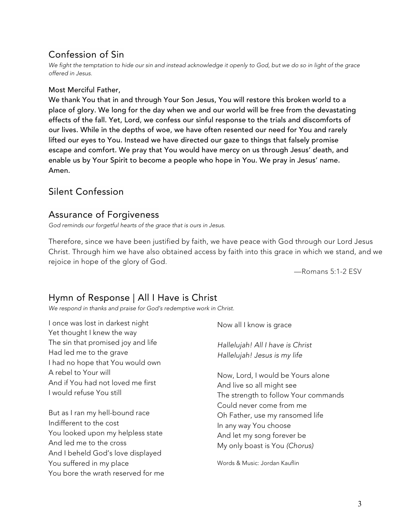# Confession of Sin

We fight the temptation to hide our sin and instead acknowledge it openly to God, but we do so in light of the grace *offered in Jesus.*

#### Most Merciful Father,

We thank You that in and through Your Son Jesus, You will restore this broken world to a place of glory. We long for the day when we and our world will be free from the devastating effects of the fall. Yet, Lord, we confess our sinful response to the trials and discomforts of our lives. While in the depths of woe, we have often resented our need for You and rarely lifted our eyes to You. Instead we have directed our gaze to things that falsely promise escape and comfort. We pray that You would have mercy on us through Jesus' death, and enable us by Your Spirit to become a people who hope in You. We pray in Jesus' name. Amen.

#### Silent Confession

### Assurance of Forgiveness

*God reminds our forgetful hearts of the grace that is ours in Jesus.*

Therefore, since we have been justified by faith, we have peace with God through our Lord Jesus Christ. Through him we have also obtained access by faith into this grace in which we stand, and we rejoice in hope of the glory of God.

—Romans 5:1-2 ESV

### Hymn of Response | All I Have is Christ

*We respond in thanks and praise for God's redemptive work in Christ.*

I once was lost in darkest night Yet thought I knew the way The sin that promised joy and life Had led me to the grave I had no hope that You would own A rebel to Your will And if You had not loved me first I would refuse You still

But as I ran my hell-bound race Indifferent to the cost You looked upon my helpless state And led me to the cross And I beheld God's love displayed You suffered in my place You bore the wrath reserved for me Now all I know is grace

*Hallelujah! All I have is Christ Hallelujah! Jesus is my life*

Now, Lord, I would be Yours alone And live so all might see The strength to follow Your commands Could never come from me Oh Father, use my ransomed life In any way You choose And let my song forever be My only boast is You *(Chorus)*

Words & Music: Jordan Kauflin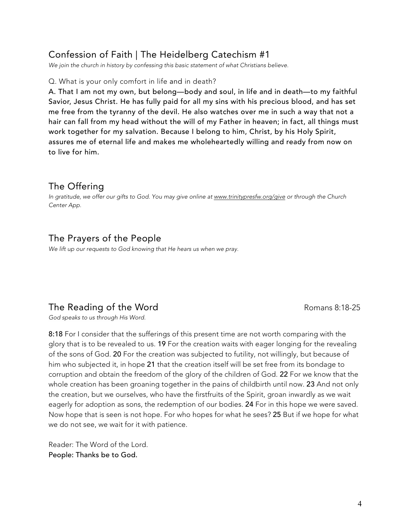### Confession of Faith | The Heidelberg Catechism #1

*We join the church in history by confessing this basic statement of what Christians believe.*

Q. What is your only comfort in life and in death?

A. That I am not my own, but belong—body and soul, in life and in death—to my faithful Savior, Jesus Christ. He has fully paid for all my sins with his precious blood, and has set me free from the tyranny of the devil. He also watches over me in such a way that not a hair can fall from my head without the will of my Father in heaven; in fact, all things must work together for my salvation. Because I belong to him, Christ, by his Holy Spirit, assures me of eternal life and makes me wholeheartedly willing and ready from now on to live for him.

#### The Offering

*In gratitude, we offer our gifts to God. You may give online at www.trinitypresfw.org/give or through the Church Center App.*

### The Prayers of the People

*We lift up our requests to God knowing that He hears us when we pray.*

## The Reading of the Word The Romans 8:18-25

*God speaks to us through His Word.*

8:18 For I consider that the sufferings of this present time are not worth comparing with the glory that is to be revealed to us. 19 For the creation waits with eager longing for the revealing of the sons of God. 20 For the creation was subjected to futility, not willingly, but because of him who subjected it, in hope 21 that the creation itself will be set free from its bondage to corruption and obtain the freedom of the glory of the children of God. 22 For we know that the whole creation has been groaning together in the pains of childbirth until now. 23 And not only the creation, but we ourselves, who have the firstfruits of the Spirit, groan inwardly as we wait eagerly for adoption as sons, the redemption of our bodies. 24 For in this hope we were saved. Now hope that is seen is not hope. For who hopes for what he sees? 25 But if we hope for what we do not see, we wait for it with patience.

Reader: The Word of the Lord. People: Thanks be to God.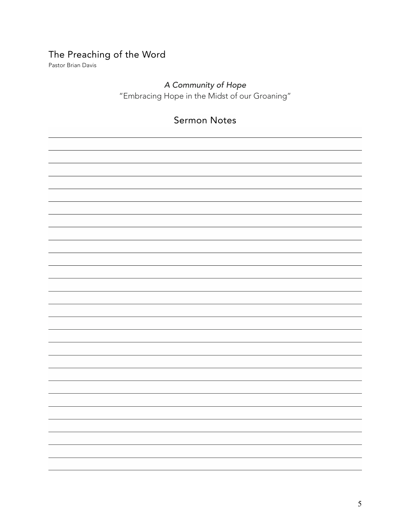# The Preaching of the Word

Pastor Brian Davis

# *A Community of Hope*

"Embracing Hope in the Midst of our Groaning"

# Sermon Notes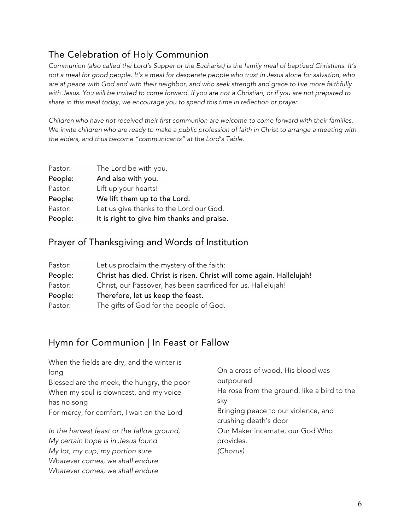# The Celebration of Holy Communion

Communion (also called the Lord's Supper or the Eucharist) is the family meal of baptized Christians. It's not a meal for good people. It's a meal for desperate people who trust in Jesus alone for salvation, who are at peace with God and with their neighbor, and who seek strength and grace to live more faithfully with Jesus. You will be invited to come forward. If you are not a Christian, or if you are not prepared to *share in this meal today, we encourage you to spend this time in reflection or prayer.*

*Children who have not received their first communion are welcome to come forward with their families.* We invite children who are ready to make a public profession of faith in Christ to arrange a meeting with *the elders, and thus become "communicants" at the Lord's Table.*

| Pastor: | The Lord be with you.                      |
|---------|--------------------------------------------|
| People: | And also with you.                         |
| Pastor: | Lift up your hearts!                       |
| People: | We lift them up to the Lord.               |
| Pastor: | Let us give thanks to the Lord our God.    |
| People: | It is right to give him thanks and praise. |

### Prayer of Thanksgiving and Words of Institution

| Pastor: | Let us proclaim the mystery of the faith:                             |  |
|---------|-----------------------------------------------------------------------|--|
| People: | Christ has died. Christ is risen. Christ will come again. Hallelujah! |  |
| Pastor: | Christ, our Passover, has been sacrificed for us. Hallelujah!         |  |
| People: | Therefore, let us keep the feast.                                     |  |
| Pastor: | The gifts of God for the people of God.                               |  |

## Hymn for Communion | In Feast or Fallow

*Whatever comes, we shall endure*

| When the fields are dry, and the winter is |                                                              |  |
|--------------------------------------------|--------------------------------------------------------------|--|
| long                                       | On a cross of wood, His blood was<br>outpoured               |  |
| Blessed are the meek, the hungry, the poor |                                                              |  |
| When my soul is downcast, and my voice     | He rose from the ground, like a bird to the                  |  |
| has no song                                | sky                                                          |  |
| For mercy, for comfort, I wait on the Lord | Bringing peace to our violence, and<br>crushing death's door |  |
| In the harvest feast or the fallow ground, | Our Maker incarnate, our God Who                             |  |
| My certain hope is in Jesus found          | provides.                                                    |  |
| My lot, my cup, my portion sure            | (Chorus)                                                     |  |
| Whatever comes, we shall endure            |                                                              |  |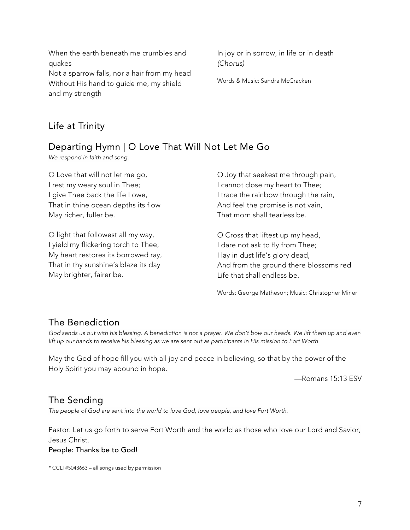When the earth beneath me crumbles and quakes

Not a sparrow falls, nor a hair from my head Without His hand to guide me, my shield and my strength

In joy or in sorrow, in life or in death *(Chorus)*

Words & Music: Sandra McCracken

# Life at Trinity

# Departing Hymn | O Love That Will Not Let Me Go

*We respond in faith and song.*

O Love that will not let me go, I rest my weary soul in Thee; I give Thee back the life I owe, That in thine ocean depths its flow May richer, fuller be.

O light that followest all my way, I yield my flickering torch to Thee; My heart restores its borrowed ray, That in thy sunshine's blaze its day May brighter, fairer be.

O Joy that seekest me through pain, I cannot close my heart to Thee; I trace the rainbow through the rain, And feel the promise is not vain, That morn shall tearless be.

O Cross that liftest up my head, I dare not ask to fly from Thee; I lay in dust life's glory dead, And from the ground there blossoms red Life that shall endless be.

Words: George Matheson; Music: Christopher Miner

## The Benediction

God sends us out with his blessing. A benediction is not a prayer. We don't bow our heads. We lift them up and even lift up our hands to receive his blessing as we are sent out as participants in His mission to Fort Worth.

May the God of hope fill you with all joy and peace in believing, so that by the power of the Holy Spirit you may abound in hope.

—Romans 15:13 ESV

### The Sending

*The people of God are sent into the world to love God, love people, and love Fort Worth.*

Pastor: Let us go forth to serve Fort Worth and the world as those who love our Lord and Savior, Jesus Christ. People: Thanks be to God!

\* CCLI #5043663 – all songs used by permission